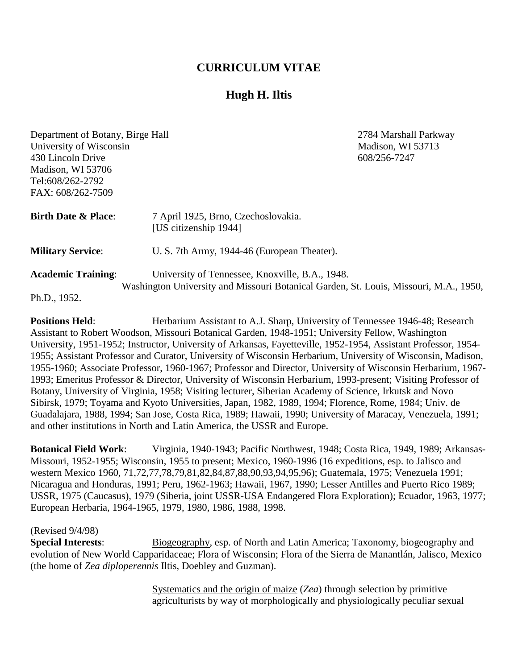## **CURRICULUM VITAE**

# **Hugh H. Iltis**

| Department of Botany, Birge Hall                                                                                                                                      | 2784 Marshall Parkway                                        |  |  |
|-----------------------------------------------------------------------------------------------------------------------------------------------------------------------|--------------------------------------------------------------|--|--|
| University of Wisconsin                                                                                                                                               | Madison, WI 53713                                            |  |  |
| 430 Lincoln Drive                                                                                                                                                     | 608/256-7247                                                 |  |  |
| Madison, WI 53706                                                                                                                                                     |                                                              |  |  |
| Tel:608/262-2792                                                                                                                                                      |                                                              |  |  |
| FAX: 608/262-7509                                                                                                                                                     |                                                              |  |  |
| <b>Birth Date &amp; Place:</b>                                                                                                                                        | 7 April 1925, Brno, Czechoslovakia.<br>[US citizenship 1944] |  |  |
| <b>Military Service:</b>                                                                                                                                              | U. S. 7th Army, 1944-46 (European Theater).                  |  |  |
| <b>Academic Training:</b><br>University of Tennessee, Knoxville, B.A., 1948.<br>Washington University and Missouri Botanical Garden, St. Louis, Missouri, M.A., 1950, |                                                              |  |  |
| Ph.D., 1952.                                                                                                                                                          |                                                              |  |  |

**Positions Held:** Herbarium Assistant to A.J. Sharp, University of Tennessee 1946-48; Research Assistant to Robert Woodson, Missouri Botanical Garden, 1948-1951; University Fellow, Washington University, 1951-1952; Instructor, University of Arkansas, Fayetteville, 1952-1954, Assistant Professor, 1954- 1955; Assistant Professor and Curator, University of Wisconsin Herbarium, University of Wisconsin, Madison, 1955-1960; Associate Professor, 1960-1967; Professor and Director, University of Wisconsin Herbarium, 1967- 1993; Emeritus Professor & Director, University of Wisconsin Herbarium, 1993-present; Visiting Professor of Botany, University of Virginia, 1958; Visiting lecturer, Siberian Academy of Science, Irkutsk and Novo Sibirsk, 1979; Toyama and Kyoto Universities, Japan, 1982, 1989, 1994; Florence, Rome, 1984; Univ. de Guadalajara, 1988, 1994; San Jose, Costa Rica, 1989; Hawaii, 1990; University of Maracay, Venezuela, 1991; and other institutions in North and Latin America, the USSR and Europe.

**Botanical Field Work**: Virginia, 1940-1943; Pacific Northwest, 1948; Costa Rica, 1949, 1989; Arkansas-Missouri, 1952-1955; Wisconsin, 1955 to present; Mexico, 1960-1996 (16 expeditions, esp. to Jalisco and western Mexico 1960, 71,72,77,78,79,81,82,84,87,88,90,93,94,95,96); Guatemala, 1975; Venezuela 1991; Nicaragua and Honduras, 1991; Peru, 1962-1963; Hawaii, 1967, 1990; Lesser Antilles and Puerto Rico 1989; USSR, 1975 (Caucasus), 1979 (Siberia, joint USSR-USA Endangered Flora Exploration); Ecuador, 1963, 1977; European Herbaria, 1964-1965, 1979, 1980, 1986, 1988, 1998.

#### (Revised 9/4/98)

**Special Interests:** Biogeography, esp. of North and Latin America; Taxonomy, biogeography and evolution of New World Capparidaceae; Flora of Wisconsin; Flora of the Sierra de Manantlán, Jalisco, Mexico (the home of *Zea diploperennis* Iltis, Doebley and Guzman).

> Systematics and the origin of maize (*Zea*) through selection by primitive agriculturists by way of morphologically and physiologically peculiar sexual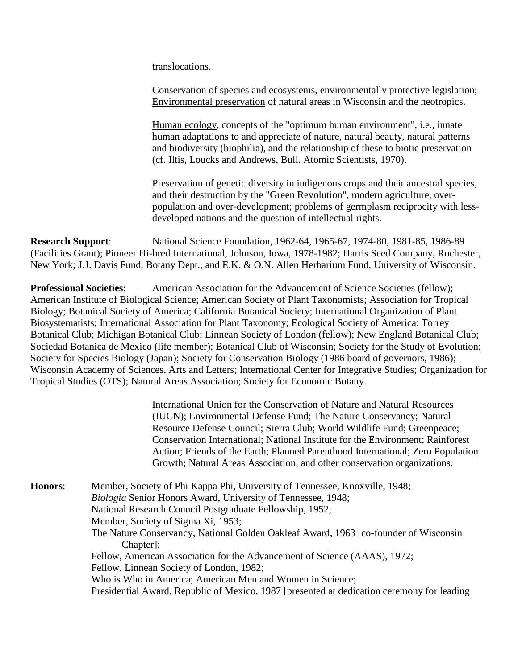translocations.

Conservation of species and ecosystems, environmentally protective legislation; Environmental preservation of natural areas in Wisconsin and the neotropics.

Human ecology, concepts of the "optimum human environment", i.e., innate human adaptations to and appreciate of nature, natural beauty, natural patterns and biodiversity (biophilia), and the relationship of these to biotic preservation (cf. Iltis, Loucks and Andrews, Bull. Atomic Scientists, 1970).

Preservation of genetic diversity in indigenous crops and their ancestral species, and their destruction by the "Green Revolution", modern agriculture, overpopulation and over-development; problems of germplasm reciprocity with lessdeveloped nations and the question of intellectual rights.

**Research Support**: National Science Foundation, 1962-64, 1965-67, 1974-80, 1981-85, 1986-89 (Facilities Grant); Pioneer Hi-bred International, Johnson, Iowa, 1978-1982; Harris Seed Company, Rochester, New York; J.J. Davis Fund, Botany Dept., and E.K. & O.N. Allen Herbarium Fund, University of Wisconsin.

**Professional Societies:** American Association for the Advancement of Science Societies (fellow); American Institute of Biological Science; American Society of Plant Taxonomists; Association for Tropical Biology; Botanical Society of America; California Botanical Society; International Organization of Plant Biosystematists; International Association for Plant Taxonomy; Ecological Society of America; Torrey Botanical Club; Michigan Botanical Club; Linnean Society of London (fellow); New England Botanical Club; Sociedad Botanica de Mexico (life member); Botanical Club of Wisconsin; Society for the Study of Evolution; Society for Species Biology (Japan); Society for Conservation Biology (1986 board of governors, 1986); Wisconsin Academy of Sciences, Arts and Letters; International Center for Integrative Studies; Organization for Tropical Studies (OTS); Natural Areas Association; Society for Economic Botany.

> International Union for the Conservation of Nature and Natural Resources (IUCN); Environmental Defense Fund; The Nature Conservancy; Natural Resource Defense Council; Sierra Club; World Wildlife Fund; Greenpeace; Conservation International; National Institute for the Environment; Rainforest Action; Friends of the Earth; Planned Parenthood International; Zero Population Growth; Natural Areas Association, and other conservation organizations.

**Honors**: Member, Society of Phi Kappa Phi, University of Tennessee, Knoxville, 1948; *Biologia* Senior Honors Award, University of Tennessee, 1948; National Research Council Postgraduate Fellowship, 1952; Member, Society of Sigma Xi, 1953; The Nature Conservancy, National Golden Oakleaf Award, 1963 [co-founder of Wisconsin Chapter]: Fellow, American Association for the Advancement of Science (AAAS), 1972; Fellow, Linnean Society of London, 1982; Who is Who in America; American Men and Women in Science; Presidential Award, Republic of Mexico, 1987 [presented at dedication ceremony for leading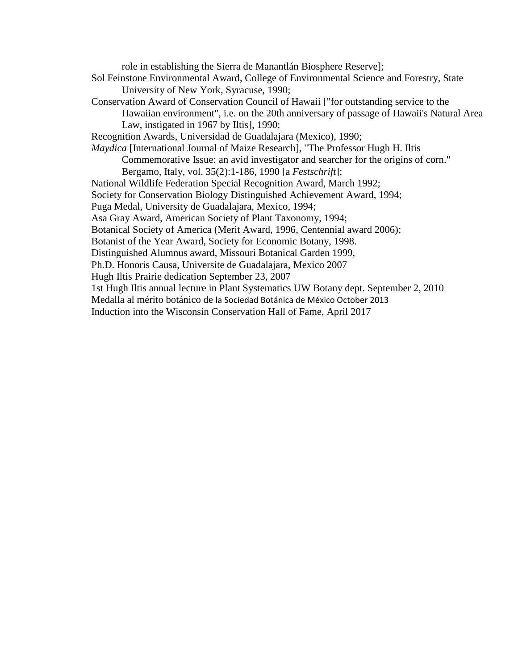role in establishing the Sierra de Manantlán Biosphere Reserve];

- Sol Feinstone Environmental Award, College of Environmental Science and Forestry, State University of New York, Syracuse, 1990;
- Conservation Award of Conservation Council of Hawaii ["for outstanding service to the Hawaiian environment", i.e. on the 20th anniversary of passage of Hawaii's Natural Area Law, instigated in 1967 by Iltis], 1990;
- Recognition Awards, Universidad de Guadalajara (Mexico), 1990;

*Maydica* [International Journal of Maize Research], "The Professor Hugh H. Iltis

Commemorative Issue: an avid investigator and searcher for the origins of corn."

Bergamo, Italy, vol. 35(2):1-186, 1990 [a *Festschrift*];

National Wildlife Federation Special Recognition Award, March 1992;

Society for Conservation Biology Distinguished Achievement Award, 1994;

Puga Medal, University de Guadalajara, Mexico, 1994;

Asa Gray Award, American Society of Plant Taxonomy, 1994;

Botanical Society of America (Merit Award, 1996, Centennial award 2006);

Botanist of the Year Award, Society for Economic Botany, 1998.

Distinguished Alumnus award, Missouri Botanical Garden 1999,

Ph.D. Honoris Causa, Universite de Guadalajara, Mexico 2007

Hugh Iltis Prairie dedication September 23, 2007

1st Hugh Iltis annual lecture in Plant Systematics UW Botany dept. September 2, 2010

Medalla al mérito botánico de la Sociedad Botánica de México October 2013

Induction into the Wisconsin Conservation Hall of Fame, April 2017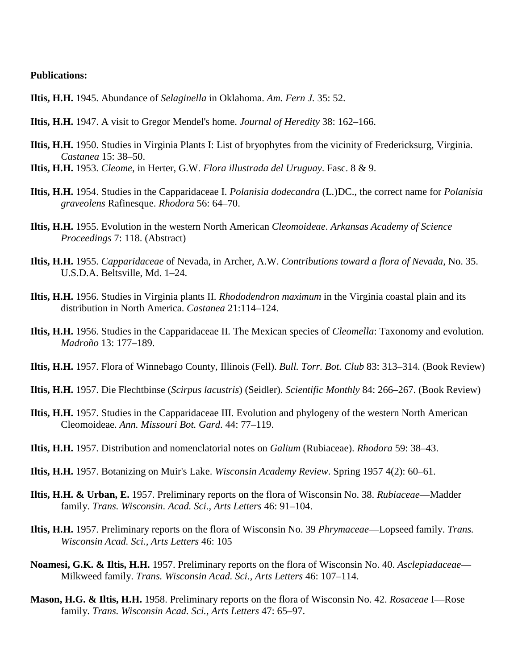### **Publications:**

**Iltis, H.H.** 1945. Abundance of *Selaginella* in Oklahoma. *Am. Fern J.* 35: 52.

- **Iltis, H.H.** 1947. A visit to Gregor Mendel's home. *Journal of Heredity* 38: 162–166.
- **Iltis, H.H.** 1950. Studies in Virginia Plants I: List of bryophytes from the vicinity of Fredericksurg, Virginia. *Castanea* 15: 38–50.
- **Iltis, H.H.** 1953. *Cleome*, in Herter, G.W. *Flora illustrada del Uruguay*. Fasc. 8 & 9.
- **Iltis, H.H.** 1954. Studies in the Capparidaceae I. *Polanisia dodecandra* (L.)DC., the correct name for *Polanisia graveolens* Rafinesque. *Rhodora* 56: 64–70.
- **Iltis, H.H.** 1955. Evolution in the western North American *Cleomoideae*. *Arkansas Academy of Science Proceedings* 7: 118. (Abstract)
- **Iltis, H.H.** 1955. *Capparidaceae* of Nevada, in Archer, A.W. *Contributions toward a flora of Nevada*, No. 35. U.S.D.A. Beltsville, Md. 1–24.
- **Iltis, H.H.** 1956. Studies in Virginia plants II. *Rhododendron maximum* in the Virginia coastal plain and its distribution in North America. *Castanea* 21:114–124.
- **Iltis, H.H.** 1956. Studies in the Capparidaceae II. The Mexican species of *Cleomella*: Taxonomy and evolution. *Madroño* 13: 177–189.
- **Iltis, H.H.** 1957. Flora of Winnebago County, Illinois (Fell). *Bull. Torr. Bot. Club* 83: 313–314. (Book Review)
- **Iltis, H.H.** 1957. Die Flechtbinse (*Scirpus lacustris*) (Seidler). *Scientific Monthly* 84: 266–267. (Book Review)
- **Iltis, H.H.** 1957. Studies in the Capparidaceae III. Evolution and phylogeny of the western North American Cleomoideae. *Ann. Missouri Bot. Gard*. 44: 77–119.
- **Iltis, H.H.** 1957. Distribution and nomenclatorial notes on *Galium* (Rubiaceae). *Rhodora* 59: 38–43.
- **Iltis, H.H.** 1957. Botanizing on Muir's Lake. *Wisconsin Academy Review*. Spring 1957 4(2): 60–61.
- **Iltis, H.H. & Urban, E.** 1957. Preliminary reports on the flora of Wisconsin No. 38. *Rubiaceae*—Madder family. *Trans. Wisconsin. Acad. Sci., Arts Letters* 46: 91–104.
- **Iltis, H.H.** 1957. Preliminary reports on the flora of Wisconsin No. 39 *Phrymaceae*—Lopseed family. *Trans. Wisconsin Acad. Sci., Arts Letters* 46: 105
- **Noamesi, G.K. & Iltis, H.H.** 1957. Preliminary reports on the flora of Wisconsin No. 40. *Asclepiadaceae* Milkweed family. *Trans. Wisconsin Acad. Sci., Arts Letters* 46: 107–114.
- **Mason, H.G. & Iltis, H.H.** 1958. Preliminary reports on the flora of Wisconsin No. 42. *Rosaceae* I—Rose family. *Trans. Wisconsin Acad. Sci., Arts Letters* 47: 65–97.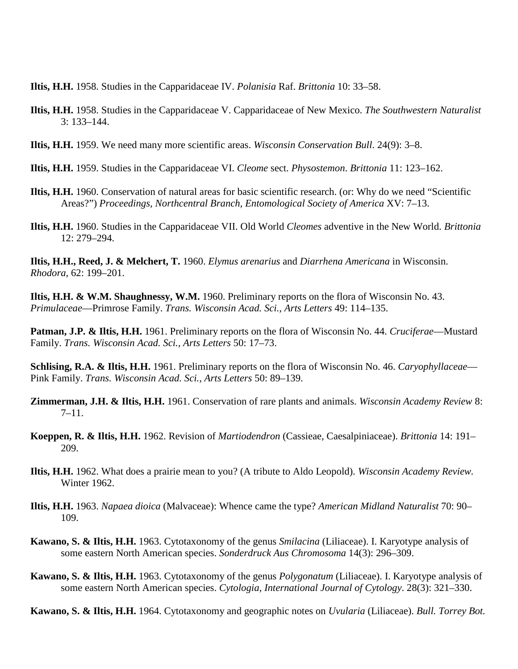**Iltis, H.H.** 1958. Studies in the Capparidaceae IV. *Polanisia* Raf. *Brittonia* 10: 33–58.

- **Iltis, H.H.** 1958. Studies in the Capparidaceae V. Capparidaceae of New Mexico. *The Southwestern Naturalist* 3: 133–144.
- **Iltis, H.H.** 1959. We need many more scientific areas. *Wisconsin Conservation Bull*. 24(9): 3–8.
- **Iltis, H.H.** 1959. Studies in the Capparidaceae VI. *Cleome* sect. *Physostemon*. *Brittonia* 11: 123–162.
- **Iltis, H.H.** 1960. Conservation of natural areas for basic scientific research. (or: Why do we need "Scientific Areas?") *Proceedings, Northcentral Branch, Entomological Society of America* XV: 7–13.
- **Iltis, H.H.** 1960. Studies in the Capparidaceae VII. Old World *Cleomes* adventive in the New World. *Brittonia* 12: 279–294.

**Iltis, H.H., Reed, J. & Melchert, T.** 1960. *Elymus arenarius* and *Diarrhena Americana* in Wisconsin. *Rhodora*, 62: 199–201.

**Iltis, H.H. & W.M. Shaughnessy, W.M.** 1960. Preliminary reports on the flora of Wisconsin No. 43. *Primulaceae*—Primrose Family. *Trans. Wisconsin Acad. Sci., Arts Letters* 49: 114–135.

**Patman, J.P. & Iltis, H.H.** 1961. Preliminary reports on the flora of Wisconsin No. 44. *Cruciferae*—Mustard Family. *Trans. Wisconsin Acad. Sci., Arts Letters* 50: 17–73.

**Schlising, R.A. & Iltis, H.H.** 1961. Preliminary reports on the flora of Wisconsin No. 46. *Caryophyllaceae*— Pink Family. *Trans. Wisconsin Acad. Sci., Arts Letters* 50: 89–139.

**Zimmerman, J.H. & Iltis, H.H.** 1961. Conservation of rare plants and animals. *Wisconsin Academy Review* 8:  $7-11.$ 

- **Koeppen, R. & Iltis, H.H.** 1962. Revision of *Martiodendron* (Cassieae, Caesalpiniaceae). *Brittonia* 14: 191– 209.
- **Iltis, H.H.** 1962. What does a prairie mean to you? (A tribute to Aldo Leopold). *Wisconsin Academy Review.* Winter 1962.
- **Iltis, H.H.** 1963. *Napaea dioica* (Malvaceae): Whence came the type? *American Midland Naturalist* 70: 90– 109.
- **Kawano, S. & Iltis, H.H.** 1963. Cytotaxonomy of the genus *Smilacina* (Liliaceae). I. Karyotype analysis of some eastern North American species. *Sonderdruck Aus Chromosoma* 14(3): 296–309.
- **Kawano, S. & Iltis, H.H.** 1963. Cytotaxonomy of the genus *Polygonatum* (Liliaceae). I. Karyotype analysis of some eastern North American species. *Cytologia, International Journal of Cytology*. 28(3): 321–330.

**Kawano, S. & Iltis, H.H.** 1964. Cytotaxonomy and geographic notes on *Uvularia* (Liliaceae). *Bull. Torrey Bot.*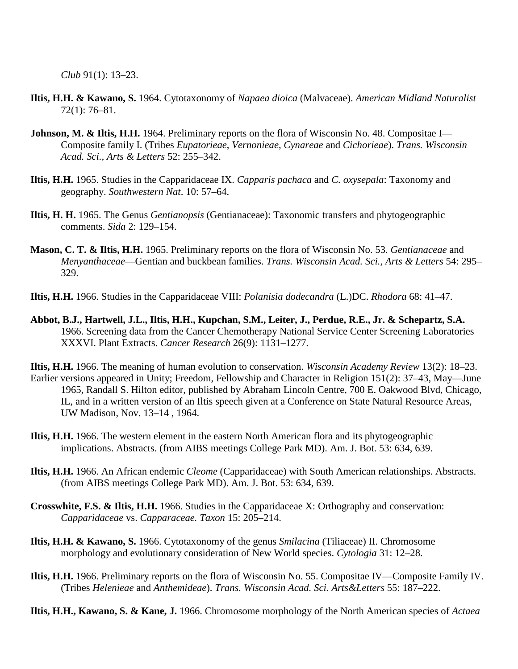*Club* 91(1): 13–23.

- **Iltis, H.H. & Kawano, S.** 1964. Cytotaxonomy of *Napaea dioica* (Malvaceae). *American Midland Naturalist* 72(1): 76–81.
- **Johnson, M. & Iltis, H.H.** 1964. Preliminary reports on the flora of Wisconsin No. 48. Compositae I— Composite family I. (Tribes *Eupatorieae*, *Vernonieae*, *Cynareae* and *Cichorieae*). *Trans. Wisconsin Acad. Sci., Arts & Letters* 52: 255–342.
- **Iltis, H.H.** 1965. Studies in the Capparidaceae IX. *Capparis pachaca* and *C. oxysepala*: Taxonomy and geography. *Southwestern Nat*. 10: 57–64.
- **Iltis, H. H.** 1965. The Genus *Gentianopsis* (Gentianaceae): Taxonomic transfers and phytogeographic comments. *Sida* 2: 129–154.
- **Mason, C. T. & Iltis, H.H.** 1965. Preliminary reports on the flora of Wisconsin No. 53. *Gentianaceae* and *Menyanthaceae*—Gentian and buckbean families. *Trans. Wisconsin Acad. Sci., Arts & Letters* 54: 295– 329.
- **Iltis, H.H.** 1966. Studies in the Capparidaceae VIII: *Polanisia dodecandra* (L.)DC. *Rhodora* 68: 41–47.
- **Abbot, B.J., Hartwell, J.L., Iltis, H.H., Kupchan, S.M., Leiter, J., Perdue, R.E., Jr. & Schepartz, S.A.** 1966. Screening data from the Cancer Chemotherapy National Service Center Screening Laboratories XXXVI. Plant Extracts. *Cancer Research* 26(9): 1131–1277.
- **Iltis, H.H.** 1966. The meaning of human evolution to conservation. *Wisconsin Academy Review* 13(2): 18–23. Earlier versions appeared in Unity; Freedom, Fellowship and Character in Religion 151(2): 37–43, May—June 1965, Randall S. Hilton editor, published by Abraham Lincoln Centre, 700 E. Oakwood Blvd, Chicago, IL, and in a written version of an Iltis speech given at a Conference on State Natural Resource Areas, UW Madison, Nov. 13–14 , 1964.
- **Iltis, H.H.** 1966. The western element in the eastern North American flora and its phytogeographic implications. Abstracts. (from AIBS meetings College Park MD). Am. J. Bot. 53: 634, 639.
- **Iltis, H.H.** 1966. An African endemic *Cleome* (Capparidaceae) with South American relationships. Abstracts. (from AIBS meetings College Park MD). Am. J. Bot. 53: 634, 639.
- **Crosswhite, F.S. & Iltis, H.H.** 1966. Studies in the Capparidaceae X: Orthography and conservation: *Capparidaceae* vs. *Capparaceae. Taxon* 15: 205–214.
- **Iltis, H.H. & Kawano, S.** 1966. Cytotaxonomy of the genus *Smilacina* (Tiliaceae) II. Chromosome morphology and evolutionary consideration of New World species. *Cytologia* 31: 12–28.
- **Iltis, H.H.** 1966. Preliminary reports on the flora of Wisconsin No. 55. Compositae IV—Composite Family IV. (Tribes *Helenieae* and *Anthemideae*). *Trans. Wisconsin Acad. Sci. Arts&Letters* 55: 187–222.

**Iltis, H.H., Kawano, S. & Kane, J.** 1966. Chromosome morphology of the North American species of *Actaea*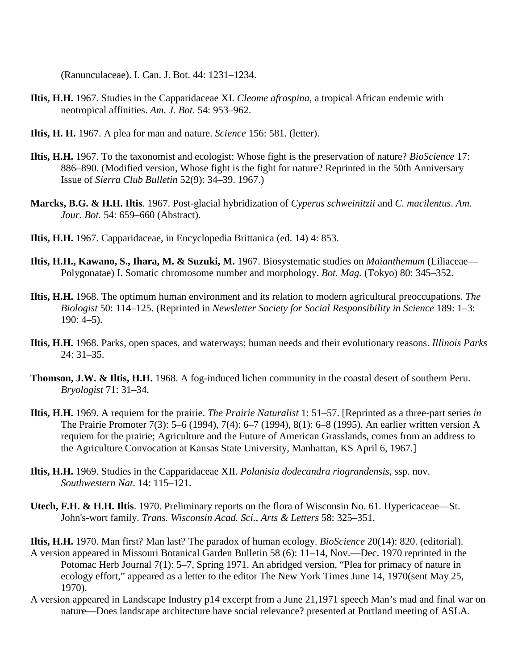(Ranunculaceae). I. Can. J. Bot. 44: 1231–1234.

- **Iltis, H.H.** 1967. Studies in the Capparidaceae XI. *Cleome afrospina*, a tropical African endemic with neotropical affinities. *Am. J. Bot*. 54: 953–962.
- **Iltis, H. H.** 1967. A plea for man and nature. *Science* 156: 581. (letter).
- **Iltis, H.H.** 1967. To the taxonomist and ecologist: Whose fight is the preservation of nature? *BioScience* 17: 886–890. (Modified version, Whose fight is the fight for nature? Reprinted in the 50th Anniversary Issue of *Sierra Club Bulletin* 52(9): 34–39. 1967.)
- **Marcks, B.G. & H.H. Iltis**. 1967. Post-glacial hybridization of *Cyperus schweinitzii* and *C. macilentus*. *Am. Jour. Bot.* 54: 659–660 (Abstract).
- **Iltis, H.H.** 1967. Capparidaceae, in Encyclopedia Brittanica (ed. 14) 4: 853.
- **Iltis, H.H., Kawano, S., Ihara, M. & Suzuki, M.** 1967. Biosystematic studies on *Maianthemum* (Liliaceae— Polygonatae) I. Somatic chromosome number and morphology. *Bot. Mag.* (Tokyo) 80: 345–352.
- **Iltis, H.H.** 1968. The optimum human environment and its relation to modern agricultural preoccupations. *The Biologist* 50: 114–125. (Reprinted in *Newsletter Society for Social Responsibility in Science* 189: 1–3: 190: 4–5).
- **Iltis, H.H.** 1968. Parks, open spaces, and waterways; human needs and their evolutionary reasons. *Illinois Parks*  $24:31-35$ .
- **Thomson, J.W. & Iltis, H.H.** 1968. A fog-induced lichen community in the coastal desert of southern Peru. *Bryologist* 71: 31–34.
- **Iltis, H.H.** 1969. A requiem for the prairie. *The Prairie Naturalist* 1: 51–57. [Reprinted as a three-part series *in* The Prairie Promoter 7(3): 5–6 (1994), 7(4): 6–7 (1994), 8(1): 6–8 (1995). An earlier written version A requiem for the prairie; Agriculture and the Future of American Grasslands, comes from an address to the Agriculture Convocation at Kansas State University, Manhattan, KS April 6, 1967.]
- **Iltis, H.H.** 1969. Studies in the Capparidaceae XII. *Polanisia dodecandra riograndensis*, ssp. nov. *Southwestern Nat*. 14: 115–121.
- **Utech, F.H. & H.H. Iltis**. 1970. Preliminary reports on the flora of Wisconsin No. 61. Hypericaceae—St. John's-wort family. *Trans. Wisconsin Acad. Sci., Arts & Letters* 58: 325–351.
- **Iltis, H.H.** 1970. Man first? Man last? The paradox of human ecology. *BioScience* 20(14): 820. (editorial). A version appeared in Missouri Botanical Garden Bulletin 58 (6): 11–14, Nov.—Dec. 1970 reprinted in the Potomac Herb Journal 7(1): 5–7, Spring 1971. An abridged version, "Plea for primacy of nature in ecology effort," appeared as a letter to the editor The New York Times June 14, 1970(sent May 25, 1970).
- A version appeared in Landscape Industry p14 excerpt from a June 21,1971 speech Man's mad and final war on nature—Does landscape architecture have social relevance? presented at Portland meeting of ASLA.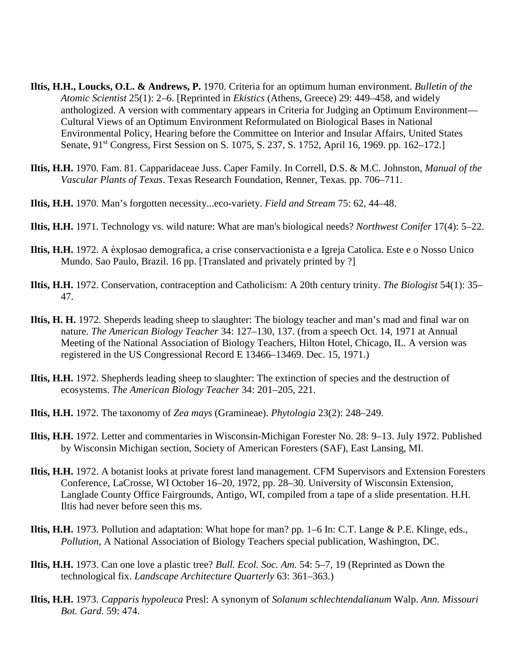- **Iltis, H.H., Loucks, O.L. & Andrews, P.** 1970. Criteria for an optimum human environment. *Bulletin of the Atomic Scientist* 25(1): 2–6. [Reprinted in *Ekistics* (Athens, Greece) 29: 449–458, and widely anthologized. A version with commentary appears in Criteria for Judging an Optimum Environment— Cultural Views of an Optimum Environment Reformulated on Biological Bases in National Environmental Policy, Hearing before the Committee on Interior and Insular Affairs, United States Senate, 91<sup>st</sup> Congress, First Session on S. 1075, S. 237, S. 1752, April 16, 1969. pp. 162–172.]
- **Iltis, H.H.** 1970. Fam. 81. Capparidaceae Juss. Caper Family. In Correll, D.S. & M.C. Johnston, *Manual of the Vascular Plants of Texas*. Texas Research Foundation, Renner, Texas. pp. 706–711.
- **Iltis, H.H.** 1970. Man's forgotten necessity...eco-variety. *Field and Stream* 75: 62, 44–48.
- **Iltis, H.H.** 1971. Technology vs. wild nature: What are man's biological needs? *Northwest Conifer* 17(4): 5–22.
- **Iltis, H.H.** 1972. A èxplosao demografica, a crise conservactionista e a Igreja Catolica. Este e o Nosso Unico Mundo. Sao Paulo, Brazil. 16 pp. [Translated and privately printed by ?]
- **Iltis, H.H.** 1972. Conservation, contraception and Catholicism: A 20th century trinity. *The Biologist* 54(1): 35– 47.
- **Iltis, H. H.** 1972. Sheperds leading sheep to slaughter: The biology teacher and man's mad and final war on nature. *The American Biology Teacher* 34: 127–130, 137. (from a speech Oct. 14, 1971 at Annual Meeting of the National Association of Biology Teachers, Hilton Hotel, Chicago, IL. A version was registered in the US Congressional Record E 13466–13469. Dec. 15, 1971.)
- **Iltis, H.H.** 1972. Shepherds leading sheep to slaughter: The extinction of species and the destruction of ecosystems. *The American Biology Teacher* 34: 201–205, 221.
- **Iltis, H.H.** 1972. The taxonomy of *Zea mays* (Gramineae). *Phytologia* 23(2): 248–249.
- **Iltis, H.H.** 1972. Letter and commentaries in Wisconsin-Michigan Forester No. 28: 9–13. July 1972. Published by Wisconsin Michigan section, Society of American Foresters (SAF), East Lansing, MI.
- **Iltis, H.H.** 1972. A botanist looks at private forest land management. CFM Supervisors and Extension Foresters Conference, LaCrosse, WI October 16–20, 1972, pp. 28–30. University of Wisconsin Extension, Langlade County Office Fairgrounds, Antigo, WI, compiled from a tape of a slide presentation. H.H. Iltis had never before seen this ms.
- **Iltis, H.H.** 1973. Pollution and adaptation: What hope for man? pp. 1–6 In: C.T. Lange & P.E. Klinge, eds., *Pollution*, A National Association of Biology Teachers special publication, Washington, DC.
- **Iltis, H.H.** 1973. Can one love a plastic tree? *Bull. Ecol. Soc. Am.* 54: 5–7, 19 (Reprinted as Down the technological fix. *Landscape Architecture Quarterly* 63: 361–363.)
- **Iltis, H.H.** 1973. *Capparis hypoleuca* Presl: A synonym of *Solanum schlechtendalianum* Walp. *Ann. Missouri Bot. Gard.* 59: 474.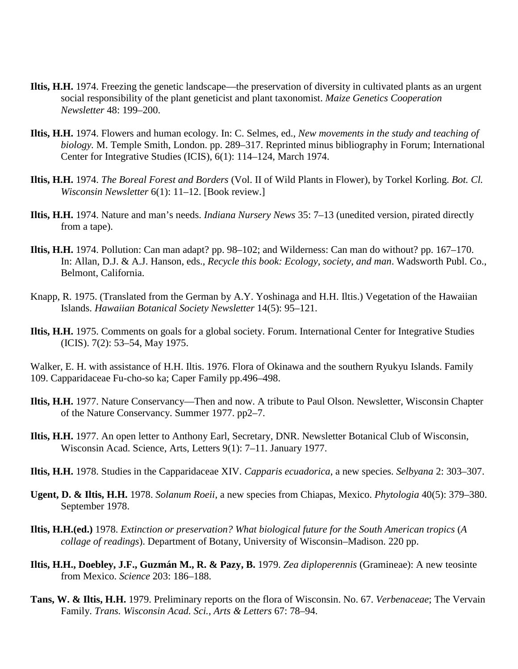- **Iltis, H.H.** 1974. Freezing the genetic landscape—the preservation of diversity in cultivated plants as an urgent social responsibility of the plant geneticist and plant taxonomist. *Maize Genetics Cooperation Newsletter* 48: 199–200.
- **Iltis, H.H.** 1974. Flowers and human ecology. In: C. Selmes, ed., *New movements in the study and teaching of biology.* M. Temple Smith, London. pp. 289–317. Reprinted minus bibliography in Forum; International Center for Integrative Studies (ICIS), 6(1): 114–124, March 1974.
- **Iltis, H.H.** 1974. *The Boreal Forest and Borders* (Vol. II of Wild Plants in Flower), by Torkel Korling. *Bot. Cl. Wisconsin Newsletter* 6(1): 11–12. [Book review.]
- **Iltis, H.H.** 1974. Nature and man's needs. *Indiana Nursery News* 35: 7–13 (unedited version, pirated directly from a tape).
- **Iltis, H.H.** 1974. Pollution: Can man adapt? pp. 98–102; and Wilderness: Can man do without? pp. 167–170. In: Allan, D.J. & A.J. Hanson, eds., *Recycle this book: Ecology, society, and man*. Wadsworth Publ. Co., Belmont, California.
- Knapp, R. 1975. (Translated from the German by A.Y. Yoshinaga and H.H. Iltis.) Vegetation of the Hawaiian Islands. *Hawaiian Botanical Society Newsletter* 14(5): 95–121.
- **Iltis, H.H.** 1975. Comments on goals for a global society. Forum. International Center for Integrative Studies (ICIS). 7(2): 53–54, May 1975.

Walker, E. H. with assistance of H.H. Iltis. 1976. Flora of Okinawa and the southern Ryukyu Islands. Family 109. Capparidaceae Fu-cho-so ka; Caper Family pp.496–498.

- **Iltis, H.H.** 1977. Nature Conservancy—Then and now. A tribute to Paul Olson. Newsletter, Wisconsin Chapter of the Nature Conservancy. Summer 1977. pp2–7.
- **Iltis, H.H.** 1977. An open letter to Anthony Earl, Secretary, DNR. Newsletter Botanical Club of Wisconsin, Wisconsin Acad. Science, Arts, Letters 9(1): 7–11. January 1977.
- **Iltis, H.H.** 1978. Studies in the Capparidaceae XIV. *Capparis ecuadorica*, a new species. *Selbyana* 2: 303–307.
- **Ugent, D. & Iltis, H.H.** 1978. *Solanum Roeii*, a new species from Chiapas, Mexico. *Phytologia* 40(5): 379–380. September 1978.
- **Iltis, H.H.(ed.)** 1978. *Extinction or preservation? What biological future for the South American tropics* (*A collage of readings*). Department of Botany, University of Wisconsin–Madison. 220 pp.
- **Iltis, H.H., Doebley, J.F., Guzmán M., R. & Pazy, B.** 1979. *Zea diploperennis* (Gramineae): A new teosinte from Mexico. *Science* 203: 186–188.
- **Tans, W. & Iltis, H.H.** 1979. Preliminary reports on the flora of Wisconsin. No. 67. *Verbenaceae*; The Vervain Family. *Trans. Wisconsin Acad. Sci., Arts & Letters* 67: 78–94.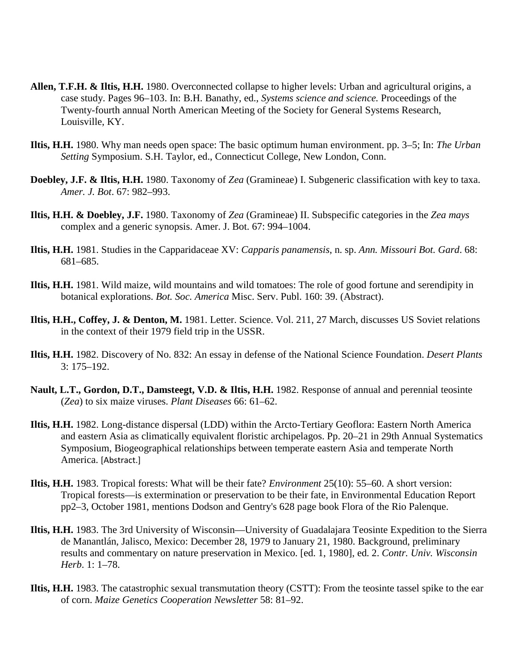- **Allen, T.F.H. & Iltis, H.H.** 1980. Overconnected collapse to higher levels: Urban and agricultural origins, a case study. Pages 96–103. In: B.H. Banathy, ed., *Systems science and science.* Proceedings of the Twenty-fourth annual North American Meeting of the Society for General Systems Research, Louisville, KY.
- **Iltis, H.H.** 1980. Why man needs open space: The basic optimum human environment. pp. 3–5; In: *The Urban Setting* Symposium. S.H. Taylor, ed., Connecticut College, New London, Conn.
- **Doebley, J.F. & Iltis, H.H.** 1980. Taxonomy of *Zea* (Gramineae) I. Subgeneric classification with key to taxa. *Amer. J. Bot*. 67: 982–993.
- **Iltis, H.H. & Doebley, J.F.** 1980. Taxonomy of *Zea* (Gramineae) II. Subspecific categories in the *Zea mays* complex and a generic synopsis. Amer. J. Bot. 67: 994–1004.
- **Iltis, H.H.** 1981. Studies in the Capparidaceae XV: *Capparis panamensis*, n. sp. *Ann. Missouri Bot. Gard*. 68: 681–685.
- **Iltis, H.H.** 1981. Wild maize, wild mountains and wild tomatoes: The role of good fortune and serendipity in botanical explorations. *Bot. Soc. America* Misc. Serv. Publ. 160: 39. (Abstract).
- **Iltis, H.H., Coffey, J. & Denton, M.** 1981. Letter. Science. Vol. 211, 27 March, discusses US Soviet relations in the context of their 1979 field trip in the USSR.
- **Iltis, H.H.** 1982. Discovery of No. 832: An essay in defense of the National Science Foundation. *Desert Plants* 3: 175–192.
- **Nault, L.T., Gordon, D.T., Damsteegt, V.D. & Iltis, H.H.** 1982. Response of annual and perennial teosinte (*Zea*) to six maize viruses. *Plant Diseases* 66: 61–62.
- **Iltis, H.H.** 1982. Long-distance dispersal (LDD) within the Arcto-Tertiary Geoflora: Eastern North America and eastern Asia as climatically equivalent floristic archipelagos. Pp. 20–21 in 29th Annual Systematics Symposium, Biogeographical relationships between temperate eastern Asia and temperate North America. [Abstract.]
- **Iltis, H.H.** 1983. Tropical forests: What will be their fate? *Environment* 25(10): 55–60. A short version: Tropical forests—is extermination or preservation to be their fate, in Environmental Education Report pp2–3, October 1981, mentions Dodson and Gentry's 628 page book Flora of the Rio Palenque.
- **Iltis, H.H.** 1983. The 3rd University of Wisconsin—University of Guadalajara Teosinte Expedition to the Sierra de Manantlán, Jalisco, Mexico: December 28, 1979 to January 21, 1980. Background, preliminary results and commentary on nature preservation in Mexico. [ed. 1, 1980], ed. 2. *Contr. Univ. Wisconsin Herb*. 1: 1–78.
- **Iltis, H.H.** 1983. The catastrophic sexual transmutation theory (CSTT): From the teosinte tassel spike to the ear of corn. *Maize Genetics Cooperation Newsletter* 58: 81–92.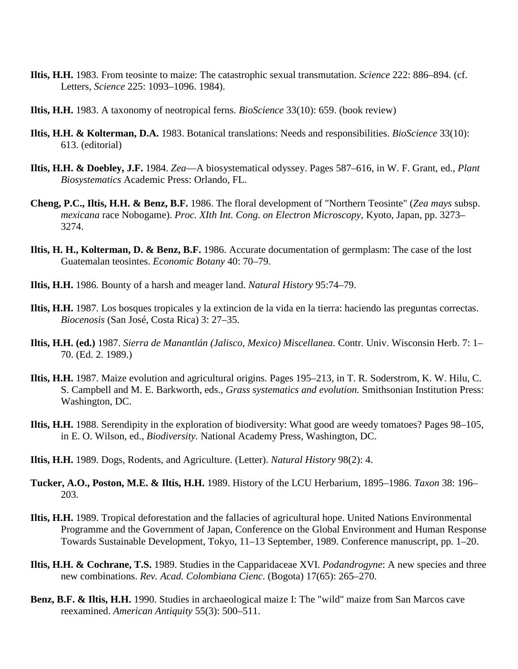- **Iltis, H.H.** 1983. From teosinte to maize: The catastrophic sexual transmutation. *Science* 222: 886–894. (cf. Letters, *Science* 225: 1093–1096. 1984).
- **Iltis, H.H.** 1983. A taxonomy of neotropical ferns. *BioScience* 33(10): 659. (book review)
- **Iltis, H.H. & Kolterman, D.A.** 1983. Botanical translations: Needs and responsibilities. *BioScience* 33(10): 613. (editorial)
- **Iltis, H.H. & Doebley, J.F.** 1984. *Zea*—A biosystematical odyssey. Pages 587–616, in W. F. Grant, ed., *Plant Biosystematics* Academic Press: Orlando, FL.
- **Cheng, P.C., Iltis, H.H. & Benz, B.F.** 1986. The floral development of "Northern Teosinte" (*Zea mays* subsp. *mexicana* race Nobogame). *Proc. XIth Int. Cong. on Electron Microscopy,* Kyoto, Japan, pp. 3273– 3274.
- **Iltis, H. H., Kolterman, D. & Benz, B.F.** 1986. Accurate documentation of germplasm: The case of the lost Guatemalan teosintes. *Economic Botany* 40: 70–79.
- **Iltis, H.H.** 1986. Bounty of a harsh and meager land. *Natural History* 95:74–79.
- **Iltis, H.H.** 1987. Los bosques tropicales y la extincion de la vida en la tierra: haciendo las preguntas correctas. *Biocenosis* (San José, Costa Rica) 3: 27–35.
- **Iltis, H.H. (ed.)** 1987. *Sierra de Manantlán (Jalisco, Mexico) Miscellanea*. Contr. Univ. Wisconsin Herb. 7: 1– 70. (Ed. 2. 1989.)
- **Iltis, H.H.** 1987. Maize evolution and agricultural origins. Pages 195–213, in T. R. Soderstrom, K. W. Hilu, C. S. Campbell and M. E. Barkworth, eds., *Grass systematics and evolution.* Smithsonian Institution Press: Washington, DC.
- **Iltis, H.H.** 1988. Serendipity in the exploration of biodiversity: What good are weedy tomatoes? Pages 98–105, in E. O. Wilson, ed., *Biodiversity.* National Academy Press, Washington, DC.
- **Iltis, H.H.** 1989. Dogs, Rodents, and Agriculture. (Letter). *Natural History* 98(2): 4.
- **Tucker, A.O., Poston, M.E. & Iltis, H.H.** 1989. History of the LCU Herbarium, 1895–1986. *Taxon* 38: 196– 203.
- **Iltis, H.H.** 1989. Tropical deforestation and the fallacies of agricultural hope. United Nations Environmental Programme and the Government of Japan, Conference on the Global Environment and Human Response Towards Sustainable Development, Tokyo, 11–13 September, 1989. Conference manuscript, pp. 1–20.
- **Iltis, H.H. & Cochrane, T.S.** 1989. Studies in the Capparidaceae XVI. *Podandrogyne*: A new species and three new combinations. *Rev. Acad. Colombiana Cienc*. (Bogota) 17(65): 265–270.
- **Benz, B.F. & Iltis, H.H.** 1990. Studies in archaeological maize I: The "wild" maize from San Marcos cave reexamined. *American Antiquity* 55(3): 500–511.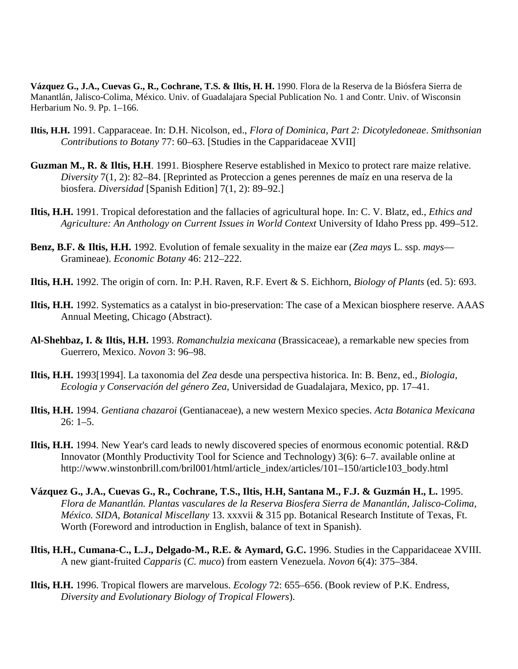**Vázquez G., J.A., Cuevas G., R., Cochrane, T.S. & Iltis, H. H.** 1990. Flora de la Reserva de la Biósfera Sierra de Manantlán, Jalisco-Colima, México. Univ. of Guadalajara Special Publication No. 1 and Contr. Univ. of Wisconsin Herbarium No. 9. Pp. 1–166.

- **Iltis, H.H.** 1991. Capparaceae. In: D.H. Nicolson, ed., *Flora of Dominica, Part 2: Dicotyledoneae*. *Smithsonian Contributions to Botany* 77: 60–63. [Studies in the Capparidaceae XVII]
- **Guzman M., R. & Iltis, H.H**. 1991. Biosphere Reserve established in Mexico to protect rare maize relative. *Diversity* 7(1, 2): 82–84. [Reprinted as Proteccion a genes perennes de maíz en una reserva de la biosfera. *Diversidad* [Spanish Edition] 7(1, 2): 89–92.]
- **Iltis, H.H.** 1991. Tropical deforestation and the fallacies of agricultural hope. In: C. V. Blatz, ed., *Ethics and Agriculture: An Anthology on Current Issues in World Context* University of Idaho Press pp. 499–512.
- **Benz, B.F. & Iltis, H.H.** 1992. Evolution of female sexuality in the maize ear (*Zea mays* L. ssp. *mays* Gramineae). *Economic Botany* 46: 212–222.
- **Iltis, H.H.** 1992. The origin of corn. In: P.H. Raven, R.F. Evert & S. Eichhorn, *Biology of Plants* (ed. 5): 693.
- **Iltis, H.H.** 1992. Systematics as a catalyst in bio-preservation: The case of a Mexican biosphere reserve. AAAS Annual Meeting, Chicago (Abstract).
- **Al-Shehbaz, I. & Iltis, H.H.** 1993. *Romanchulzia mexicana* (Brassicaceae), a remarkable new species from Guerrero, Mexico. *Novon* 3: 96–98.
- **Iltis, H.H.** 1993[1994]. La taxonomia del *Zea* desde una perspectiva historica. In: B. Benz, ed., *Biologia, Ecologia y Conservación del género Zea*, Universidad de Guadalajara, Mexico, pp. 17–41.
- **Iltis, H.H.** 1994. *Gentiana chazaroi* (Gentianaceae), a new western Mexico species. *Acta Botanica Mexicana* 26: 1–5.
- **Iltis, H.H.** 1994. New Year's card leads to newly discovered species of enormous economic potential. R&D Innovator (Monthly Productivity Tool for Science and Technology) 3(6): 6–7. available online at http://www.winstonbrill.com/bril001/html/article\_index/articles/101–150/article103\_body.html
- **Vázquez G., J.A., Cuevas G., R., Cochrane, T.S., Iltis, H.H, Santana M., F.J. & Guzmán H., L.** 1995. *Flora de Manantlán. Plantas vasculares de la Reserva Biosfera Sierra de Manantlán, Jalisco-Colima, México. SIDA, Botanical Miscellany* 13. xxxvii & 315 pp. Botanical Research Institute of Texas, Ft. Worth (Foreword and introduction in English, balance of text in Spanish).
- **Iltis, H.H., Cumana-C., L.J., Delgado-M., R.E. & Aymard, G.C.** 1996. Studies in the Capparidaceae XVIII. A new giant-fruited *Capparis* (*C. muco*) from eastern Venezuela. *Novon* 6(4): 375–384.
- **Iltis, H.H.** 1996. Tropical flowers are marvelous. *Ecology* 72: 655–656. (Book review of P.K. Endress, *Diversity and Evolutionary Biology of Tropical Flowers*).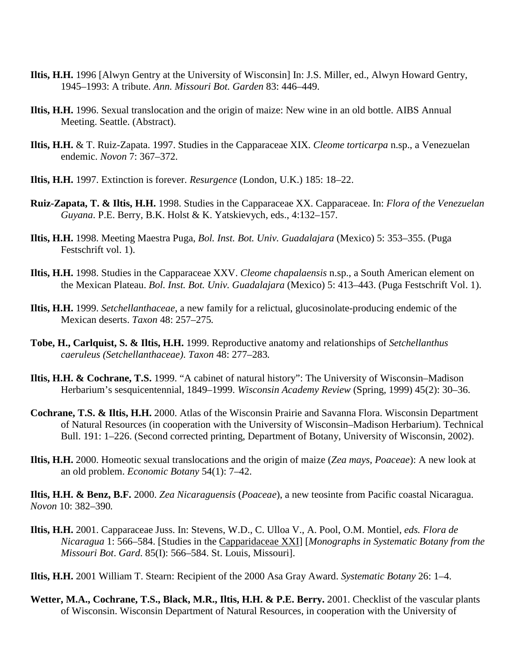- **Iltis, H.H.** 1996 [Alwyn Gentry at the University of Wisconsin] In: J.S. Miller, ed., Alwyn Howard Gentry, 1945–1993: A tribute. *Ann. Missouri Bot. Garden* 83: 446–449.
- **Iltis, H.H.** 1996. Sexual translocation and the origin of maize: New wine in an old bottle. AIBS Annual Meeting. Seattle. (Abstract).
- **Iltis, H.H.** & T. Ruiz-Zapata. 1997. Studies in the Capparaceae XIX. *Cleome torticarpa* n.sp., a Venezuelan endemic. *Novon* 7: 367–372.
- **Iltis, H.H.** 1997. Extinction is forever. *Resurgence* (London, U.K.) 185: 18–22.
- **Ruiz-Zapata, T. & Iltis, H.H.** 1998. Studies in the Capparaceae XX. Capparaceae. In: *Flora of the Venezuelan Guyana*. P.E. Berry, B.K. Holst & K. Yatskievych, eds., 4:132–157.
- **Iltis, H.H.** 1998. Meeting Maestra Puga, *Bol. Inst. Bot. Univ. Guadalajara* (Mexico) 5: 353–355. (Puga Festschrift vol. 1).
- **Iltis, H.H.** 1998. Studies in the Capparaceae XXV. *Cleome chapalaensis* n.sp., a South American element on the Mexican Plateau. *Bol. Inst. Bot. Univ. Guadalajara* (Mexico) 5: 413–443. (Puga Festschrift Vol. 1).
- **Iltis, H.H.** 1999. *Setchellanthaceae*, a new family for a relictual, glucosinolate-producing endemic of the Mexican deserts. *Taxon* 48: 257–275*.*
- **Tobe, H., Carlquist, S. & Iltis, H.H.** 1999. Reproductive anatomy and relationships of *Setchellanthus caeruleus (Setchellanthaceae)*. *Taxon* 48: 277–283*.*
- **Iltis, H.H. & Cochrane, T.S.** 1999. "A cabinet of natural history": The University of Wisconsin–Madison Herbarium's sesquicentennial, 1849–1999. *Wisconsin Academy Review* (Spring, 1999) 45(2): 30–36.
- **Cochrane, T.S. & Iltis, H.H.** 2000. Atlas of the Wisconsin Prairie and Savanna Flora. Wisconsin Department of Natural Resources (in cooperation with the University of Wisconsin–Madison Herbarium). Technical Bull. 191: 1–226. (Second corrected printing, Department of Botany, University of Wisconsin, 2002).
- **Iltis, H.H.** 2000. Homeotic sexual translocations and the origin of maize (*Zea mays, Poaceae*): A new look at an old problem. *Economic Botany* 54(1): 7–42.

**Iltis, H.H. & Benz, B.F.** 2000. *Zea Nicaraguensis* (*Poaceae*), a new teosinte from Pacific coastal Nicaragua. *Novon* 10: 382–390*.*

- **Iltis, H.H.** 2001. Capparaceae Juss. In: Stevens, W.D., C. Ulloa V., A. Pool, O.M. Montiel, *eds. Flora de Nicaragua* 1: 566–584. [Studies in the Capparidaceae XXI] [*Monographs in Systematic Botany from the Missouri Bot*. *Gard*. 85(I): 566–584. St. Louis, Missouri].
- **Iltis, H.H.** 2001 William T. Stearn: Recipient of the 2000 Asa Gray Award. *Systematic Botany* 26: 1–4.
- **Wetter, M.A., Cochrane, T.S., Black, M.R., Iltis, H.H. & P.E. Berry.** 2001. Checklist of the vascular plants of Wisconsin. Wisconsin Department of Natural Resources, in cooperation with the University of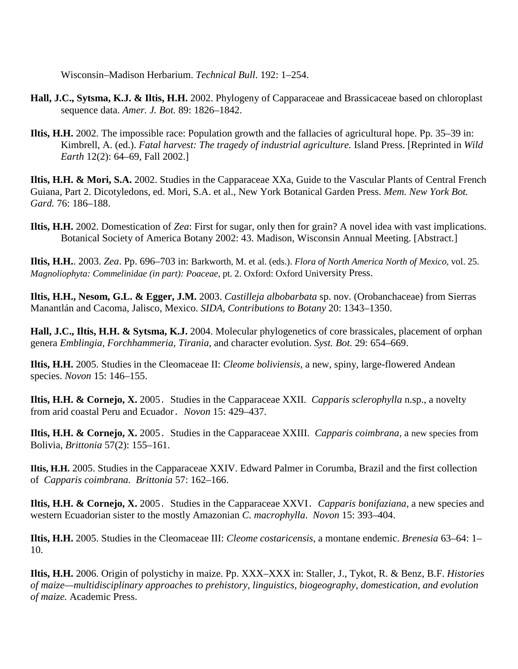Wisconsin–Madison Herbarium. *Technical Bull*. 192: 1–254.

- **Hall, J.C., Sytsma, K.J. & Iltis, H.H.** 2002. Phylogeny of Capparaceae and Brassicaceae based on chloroplast sequence data. *Amer. J. Bot.* 89: 1826–1842.
- **Iltis, H.H.** 2002. The impossible race: Population growth and the fallacies of agricultural hope. Pp. 35–39 in: Kimbrell, A. (ed.). *Fatal harvest: The tragedy of industrial agriculture.* Island Press. [Reprinted in *Wild Earth* 12(2): 64–69, Fall 2002.]

**Iltis, H.H. & Mori, S.A.** 2002. Studies in the Capparaceae XXa, Guide to the Vascular Plants of Central French Guiana, Part 2. Dicotyledons, ed. Mori, S.A. et al., New York Botanical Garden Press. *Mem. New York Bot. Gard.* 76: 186–188.

**Iltis, H.H.** 2002. Domestication of *Zea*: First for sugar, only then for grain? A novel idea with vast implications. Botanical Society of America Botany 2002: 43. Madison, Wisconsin Annual Meeting. [Abstract.]

**Iltis, H.H.**. 2003. *Zea*. Pp. 696–703 in: Barkworth, M. et al. (eds.). *Flora of North America North of Mexico,* vol. 25. *Magnoliophyta: Commelinidae (in part): Poaceae,* pt. 2. Oxford: Oxford University Press.

**Iltis, H.H., Nesom, G.L. & Egger, J.M.** 2003. *Castilleja albobarbata* sp. nov. (Orobanchaceae) from Sierras Manantlán and Cacoma, Jalisco, Mexico. *SIDA, Contributions to Botany* 20: 1343–1350.

**Hall, J.C., Iltis, H.H. & Sytsma, K.J.** 2004. Molecular phylogenetics of core brassicales, placement of orphan genera *Emblingia, Forchhammeria, Tirania*, and character evolution. *Syst. Bot.* 29: 654–669.

**Iltis, H.H.** 2005. Studies in the Cleomaceae II: *Cleome boliviensis*, a new, spiny, large-flowered Andean species. *Novon* 15: 146–155.

**Iltis, H.H. & Cornejo, X.** 2005. Studies in the Capparaceae XXII. *Capparis sclerophylla* n.sp., a novelty from arid coastal Peru and Ecuador. *Novon* 15: 429–437.

**Iltis, H.H. & Cornejo, X.** 2005. Studies in the Capparaceae XXIII. *Capparis coimbrana,* a new species from Bolivia, *Brittonia* 57(2): 155–161.

**Iltis, H.H.** 2005. Studies in the Capparaceae XXIV. Edward Palmer in Corumba, Brazil and the first collection of *Capparis coimbrana. Brittonia* 57: 162–166.

**Iltis, H.H. & Cornejo, X.** 2005. Studies in the Capparaceae XXVI. *Capparis bonifaziana,* a new species and western Ecuadorian sister to the mostly Amazonian *C. macrophylla*. *Novon* 15: 393–404.

**Iltis, H.H.** 2005. Studies in the Cleomaceae III: *Cleome costaricensis*, a montane endemic. *Brenesia* 63–64: 1– 10.

**Iltis, H.H.** 2006. Origin of polystichy in maize. Pp. XXX–XXX in: Staller, J., Tykot, R. & Benz, B.F. *Histories of maize—multidisciplinary approaches to prehistory, linguistics, biogeography, domestication, and evolution of maize.* Academic Press.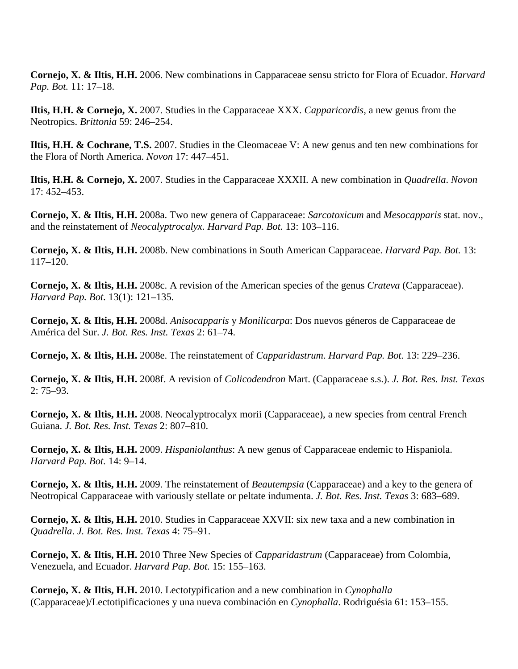**Cornejo, X. & Iltis, H.H.** 2006. New combinations in Capparaceae sensu stricto for Flora of Ecuador. *Harvard Pap. Bot.* 11: 17–18.

**Iltis, H.H. & Cornejo, X.** 2007. Studies in the Capparaceae XXX. *Capparicordis*, a new genus from the Neotropics. *Brittonia* 59: 246–254.

**Iltis, H.H. & Cochrane, T.S.** 2007. Studies in the Cleomaceae V: A new genus and ten new combinations for the Flora of North America. *Novon* 17: 447–451.

**Iltis, H.H. & Cornejo, X.** 2007. Studies in the Capparaceae XXXII. A new combination in *Quadrella*. *Novon* 17: 452–453.

**Cornejo, X. & Iltis, H.H.** 2008a. Two new genera of Capparaceae: *Sarcotoxicum* and *Mesocapparis* stat. nov., and the reinstatement of *Neocalyptrocalyx*. *Harvard Pap. Bot.* 13: 103–116.

**Cornejo, X. & Iltis, H.H.** 2008b. New combinations in South American Capparaceae. *Harvard Pap. Bot.* 13: 117–120.

**Cornejo, X. & Iltis, H.H.** 2008c. A revision of the American species of the genus *Crateva* (Capparaceae). *Harvard Pap. Bot.* 13(1): 121–135.

**Cornejo, X. & Iltis, H.H.** 2008d. *Anisocapparis* y *Monilicarpa*: Dos nuevos géneros de Capparaceae de América del Sur. *J. Bot. Res. Inst. Texas* 2: 61–74.

**Cornejo, X. & Iltis, H.H.** 2008e. The reinstatement of *Capparidastrum*. *Harvard Pap. Bot.* 13: 229–236.

**Cornejo, X. & Iltis, H.H.** 2008f. A revision of *Colicodendron* Mart. (Capparaceae s.s.). *J. Bot. Res. Inst. Texas*  $2: 75-93.$ 

**Cornejo, X. & Iltis, H.H.** 2008. Neocalyptrocalyx morii (Capparaceae), a new species from central French Guiana. *J. Bot. Res. Inst. Texas* 2: 807–810.

**Cornejo, X. & Iltis, H.H.** 2009. *Hispaniolanthus*: A new genus of Capparaceae endemic to Hispaniola. *Harvard Pap. Bot.* 14: 9–14.

**Cornejo, X. & Iltis, H.H.** 2009. The reinstatement of *Beautempsia* (Capparaceae) and a key to the genera of Neotropical Capparaceae with variously stellate or peltate indumenta. *J. Bot. Res. Inst. Texas* 3: 683–689.

**Cornejo, X. & Iltis, H.H.** 2010. Studies in Capparaceae XXVII: six new taxa and a new combination in *Quadrella*. *J. Bot. Res. Inst. Texas* 4: 75–91.

**Cornejo, X. & Iltis, H.H.** 2010 Three New Species of *Capparidastrum* (Capparaceae) from Colombia, Venezuela, and Ecuador. *Harvard Pap. Bot.* 15: 155–163.

**Cornejo, X. & Iltis, H.H.** 2010. Lectotypification and a new combination in *Cynophalla* (Capparaceae)/Lectotipificaciones y una nueva combinación en *Cynophalla*. Rodriguésia 61: 153–155.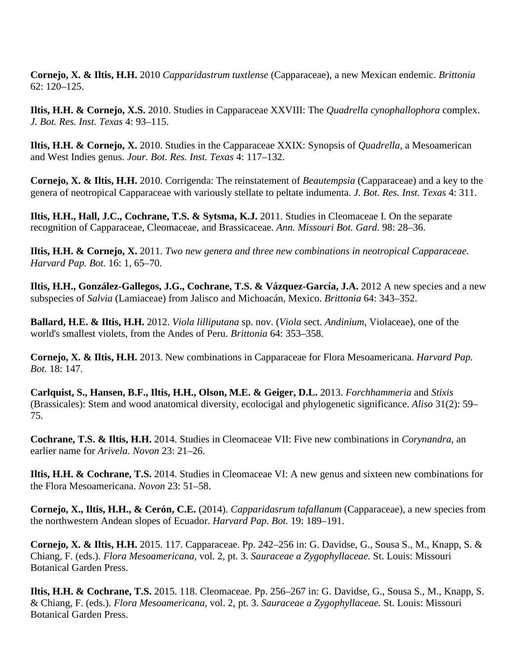**Cornejo, X. & Iltis, H.H.** 2010 *Capparidastrum tuxtlense* (Capparaceae), a new Mexican endemic. *Brittonia* 62: 120–125.

**Iltis, H.H. & Cornejo, X.S.** 2010. Studies in Capparaceae XXVIII: The *Quadrella cynophallophora* complex. *J. Bot. Res. Inst. Texas* 4: 93–115.

**Iltis, H.H. & Cornejo, X.** 2010. Studies in the Capparaceae XXIX: Synopsis of *Quadrella,* a Mesoamerican and West Indies genus. *Jour. Bot. Res. Inst. Texas* 4: 117–132.

**Cornejo, X. & Iltis, H.H.** 2010. Corrigenda: The reinstatement of *Beautempsia* (Capparaceae) and a key to the genera of neotropical Capparaceae with variously stellate to peltate indumenta. *J. Bot. Res. Inst. Texas* 4: 311.

**Iltis, H.H., Hall, J.C., Cochrane, T.S. & Sytsma, K.J.** 2011. Studies in Cleomaceae I. On the separate recognition of Capparaceae, Cleomaceae, and Brassicaceae. *Ann. Missouri Bot. Gard.* 98: 28–36.

**Iltis, H.H. & Cornejo, X.** 2011. *Two new genera and three new combinations in neotropical Capparaceae*. *Harvard Pap. Bot.* 16: 1, 65–70.

**Iltis, H.H., González-Gallegos, J.G., Cochrane, T.S. & Vázquez-García, J.A.** 2012 A new species and a new subspecies of *Salvia* (Lamiaceae) from Jalisco and Michoacán, Mexico. *Brittonia* 64: 343–352.

**Ballard, H.E. & Iltis, H.H.** 2012. *Viola lilliputana* sp. nov. (*Viola* sect. *Andinium*, Violaceae), one of the world's smallest violets, from the Andes of Peru. *Brittonia* 64: 353–358.

**Cornejo, X. & Iltis, H.H.** 2013. New combinations in Capparaceae for Flora Mesoamericana. *Harvard Pap. Bot.* 18: 147.

**Carlquist, S., Hansen, B.F., Iltis, H.H., Olson, M.E. & Geiger, D.L.** 2013. *Forchhammeria* and *Stixis* (Brassicales): Stem and wood anatomical diversity, ecolocigal and phylogenetic significance. *Aliso* 31(2): 59– 75.

**Cochrane, T.S. & Iltis, H.H.** 2014. Studies in Cleomaceae VII: Five new combinations in *Corynandra*, an earlier name for *Arivela*. *Novon* 23: 21–26.

**Iltis, H.H. & Cochrane, T.S.** 2014. Studies in Cleomaceae VI: A new genus and sixteen new combinations for the Flora Mesoamericana. *Novon* 23: 51–58.

**Cornejo, X., Iltis, H.H., & Cerón, C.E.** (2014). *Capparidasrum tafallanum* (Capparaceae), a new species from the northwestern Andean slopes of Ecuador. *Harvard Pap. Bot.* 19: 189–191.

**Cornejo, X. & Iltis, H.H.** 2015. 117. Capparaceae. Pp. 242–256 in: G. Davidse, G., Sousa S., M., Knapp, S. & Chiang, F. (eds.). *Flora Mesoamericana,* vol. 2, pt. 3. *Sauraceae a Zygophyllaceae.* St. Louis: Missouri Botanical Garden Press.

**Iltis, H.H. & Cochrane, T.S.** 2015. 118. Cleomaceae. Pp. 256–267 in: G. Davidse, G., Sousa S., M., Knapp, S. & Chiang, F. (eds.). *Flora Mesoamericana,* vol. 2, pt. 3. *Sauraceae a Zygophyllaceae.* St. Louis: Missouri Botanical Garden Press.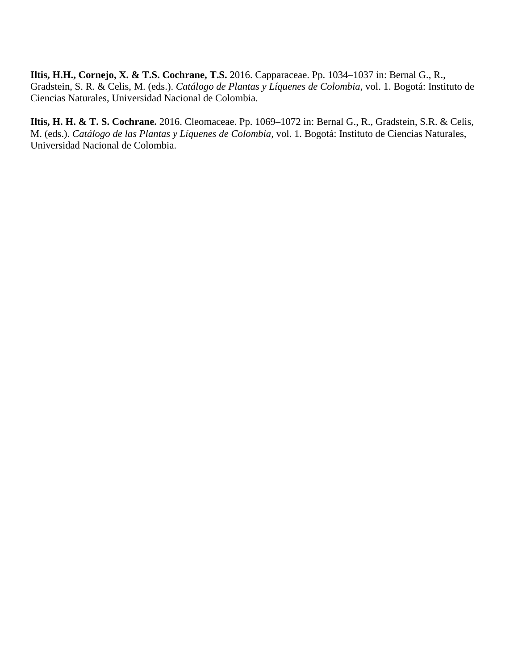**Iltis, H.H., Cornejo, X. & T.S. Cochrane, T.S.** 2016. Capparaceae. Pp. 1034–1037 in: Bernal G., R., Gradstein, S. R. & Celis, M. (eds.). *Catálogo de Plantas y Líquenes de Colombia,* vol. 1. Bogotá: Instituto de Ciencias Naturales, Universidad Nacional de Colombia.

**Iltis, H. H. & T. S. Cochrane.** 2016. Cleomaceae. Pp. 1069–1072 in: Bernal G., R., Gradstein, S.R. & Celis, M. (eds.). *Catálogo de las Plantas y Líquenes de Colombia,* vol. 1. Bogotá: Instituto de Ciencias Naturales, Universidad Nacional de Colombia.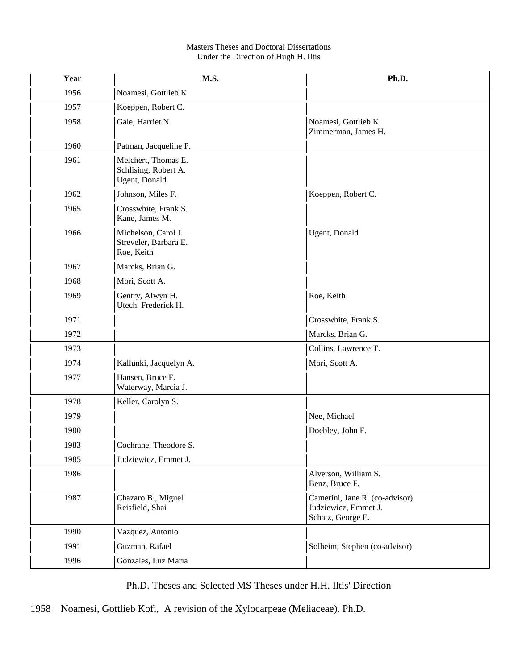#### Masters Theses and Doctoral Dissertations Under the Direction of Hugh H. Iltis

| Year | M.S.                                                         | Ph.D.                                                                       |
|------|--------------------------------------------------------------|-----------------------------------------------------------------------------|
| 1956 | Noamesi, Gottlieb K.                                         |                                                                             |
| 1957 | Koeppen, Robert C.                                           |                                                                             |
| 1958 | Gale, Harriet N.                                             | Noamesi, Gottlieb K.<br>Zimmerman, James H.                                 |
| 1960 | Patman, Jacqueline P.                                        |                                                                             |
| 1961 | Melchert, Thomas E.<br>Schlising, Robert A.<br>Ugent, Donald |                                                                             |
| 1962 | Johnson, Miles F.                                            | Koeppen, Robert C.                                                          |
| 1965 | Crosswhite, Frank S.<br>Kane, James M.                       |                                                                             |
| 1966 | Michelson, Carol J.<br>Streveler, Barbara E.<br>Roe, Keith   | Ugent, Donald                                                               |
| 1967 | Marcks, Brian G.                                             |                                                                             |
| 1968 | Mori, Scott A.                                               |                                                                             |
| 1969 | Gentry, Alwyn H.<br>Utech, Frederick H.                      | Roe, Keith                                                                  |
| 1971 |                                                              | Crosswhite, Frank S.                                                        |
| 1972 |                                                              | Marcks, Brian G.                                                            |
| 1973 |                                                              | Collins, Lawrence T.                                                        |
| 1974 | Kallunki, Jacquelyn A.                                       | Mori, Scott A.                                                              |
| 1977 | Hansen, Bruce F.<br>Waterway, Marcia J.                      |                                                                             |
| 1978 | Keller, Carolyn S.                                           |                                                                             |
| 1979 |                                                              | Nee, Michael                                                                |
| 1980 |                                                              | Doebley, John F.                                                            |
| 1983 | Cochrane, Theodore S.                                        |                                                                             |
| 1985 | Judziewicz, Emmet J.                                         |                                                                             |
| 1986 |                                                              | Alverson, William S.<br>Benz, Bruce F.                                      |
| 1987 | Chazaro B., Miguel<br>Reisfield, Shai                        | Camerini, Jane R. (co-advisor)<br>Judziewicz, Emmet J.<br>Schatz, George E. |
| 1990 | Vazquez, Antonio                                             |                                                                             |
| 1991 | Guzman, Rafael                                               | Solheim, Stephen (co-advisor)                                               |
| 1996 | Gonzales, Luz Maria                                          |                                                                             |

Ph.D. Theses and Selected MS Theses under H.H. Iltis' Direction

1958 Noamesi, Gottlieb Kofi, A revision of the Xylocarpeae (Meliaceae). Ph.D.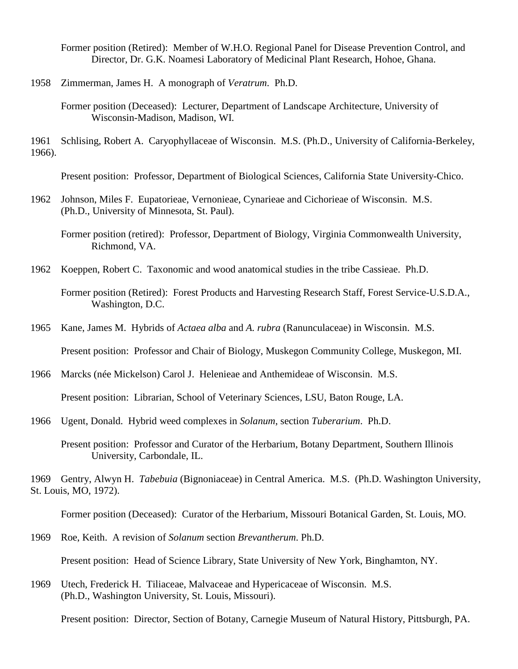Former position (Retired): Member of W.H.O. Regional Panel for Disease Prevention Control, and Director, Dr. G.K. Noamesi Laboratory of Medicinal Plant Research, Hohoe, Ghana.

1958 Zimmerman, James H. A monograph of *Veratrum*. Ph.D.

Former position (Deceased): Lecturer, Department of Landscape Architecture, University of Wisconsin-Madison, Madison, WI.

1961 Schlising, Robert A. Caryophyllaceae of Wisconsin. M.S. (Ph.D., University of California-Berkeley, 1966).

Present position: Professor, Department of Biological Sciences, California State University-Chico.

1962 Johnson, Miles F. Eupatorieae, Vernonieae, Cynarieae and Cichorieae of Wisconsin. M.S. (Ph.D., University of Minnesota, St. Paul).

Former position (retired): Professor, Department of Biology, Virginia Commonwealth University, Richmond, VA.

1962 Koeppen, Robert C. Taxonomic and wood anatomical studies in the tribe Cassieae. Ph.D.

- 1965 Kane, James M. Hybrids of *Actaea alba* and *A. rubra* (Ranunculaceae) in Wisconsin. M.S. Present position: Professor and Chair of Biology, Muskegon Community College, Muskegon, MI.
- 1966 Marcks (née Mickelson) Carol J. Helenieae and Anthemideae of Wisconsin. M.S. Present position: Librarian, School of Veterinary Sciences, LSU, Baton Rouge, LA.
- 1966 Ugent, Donald. Hybrid weed complexes in *Solanum*, section *Tuberarium*. Ph.D.
	- Present position: Professor and Curator of the Herbarium, Botany Department, Southern Illinois University, Carbondale, IL.

1969 Gentry, Alwyn H. *Tabebuia* (Bignoniaceae) in Central America. M.S. (Ph.D. Washington University, St. Louis, MO, 1972).

Former position (Deceased): Curator of the Herbarium, Missouri Botanical Garden, St. Louis, MO.

- 1969 Roe, Keith. A revision of *Solanum* section *Brevantherum*. Ph.D. Present position: Head of Science Library, State University of New York, Binghamton, NY.
- 1969 Utech, Frederick H. Tiliaceae, Malvaceae and Hypericaceae of Wisconsin. M.S. (Ph.D., Washington University, St. Louis, Missouri).

Present position: Director, Section of Botany, Carnegie Museum of Natural History, Pittsburgh, PA.

Former position (Retired): Forest Products and Harvesting Research Staff, Forest Service-U.S.D.A., Washington, D.C.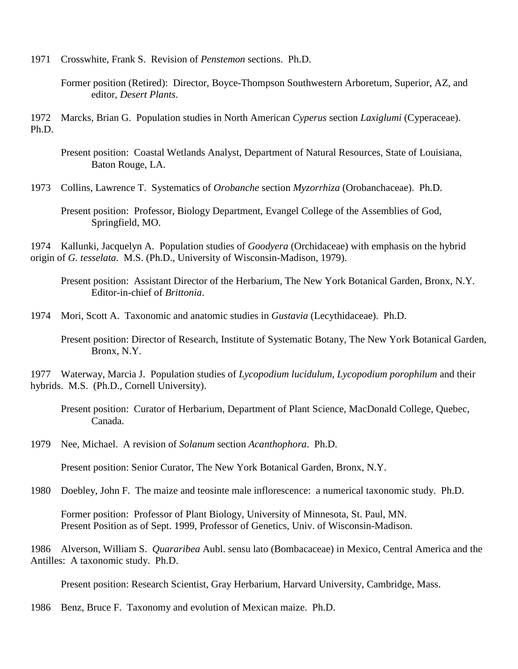1971 Crosswhite, Frank S. Revision of *Penstemon* sections. Ph.D.

Former position (Retired): Director, Boyce-Thompson Southwestern Arboretum, Superior, AZ, and editor, *Desert Plants*.

1972 Marcks, Brian G. Population studies in North American *Cyperus* section *Laxiglumi* (Cyperaceae). Ph.D.

Present position: Coastal Wetlands Analyst, Department of Natural Resources, State of Louisiana, Baton Rouge, LA.

1973 Collins, Lawrence T. Systematics of *Orobanche* section *Myzorrhiza* (Orobanchaceae). Ph.D.

Present position: Professor, Biology Department, Evangel College of the Assemblies of God, Springfield, MO.

1974 Kallunki, Jacquelyn A. Population studies of *Goodyera* (Orchidaceae) with emphasis on the hybrid origin of *G. tesselata*. M.S. (Ph.D., University of Wisconsin-Madison, 1979).

Present position: Assistant Director of the Herbarium, The New York Botanical Garden, Bronx, N.Y. Editor-in-chief of *Brittonia*.

1974 Mori, Scott A. Taxonomic and anatomic studies in *Gustavia* (Lecythidaceae). Ph.D.

Present position: Director of Research, Institute of Systematic Botany, The New York Botanical Garden, Bronx, N.Y.

1977 Waterway, Marcia J. Population studies of *Lycopodium lucidulum, Lycopodium porophilum* and their hybrids. M.S. (Ph.D., Cornell University).

Present position: Curator of Herbarium, Department of Plant Science, MacDonald College, Quebec, Canada.

1979 Nee, Michael. A revision of *Solanum* section *Acanthophora*. Ph.D.

Present position: Senior Curator, The New York Botanical Garden, Bronx, N.Y.

1980 Doebley, John F. The maize and teosinte male inflorescence: a numerical taxonomic study. Ph.D.

Former position: Professor of Plant Biology, University of Minnesota, St. Paul, MN. Present Position as of Sept. 1999, Professor of Genetics, Univ. of Wisconsin-Madison.

1986 Alverson, William S. *Quararibea* Aubl. sensu lato (Bombacaceae) in Mexico, Central America and the Antilles: A taxonomic study. Ph.D.

Present position: Research Scientist, Gray Herbarium, Harvard University, Cambridge, Mass.

1986 Benz, Bruce F. Taxonomy and evolution of Mexican maize. Ph.D.